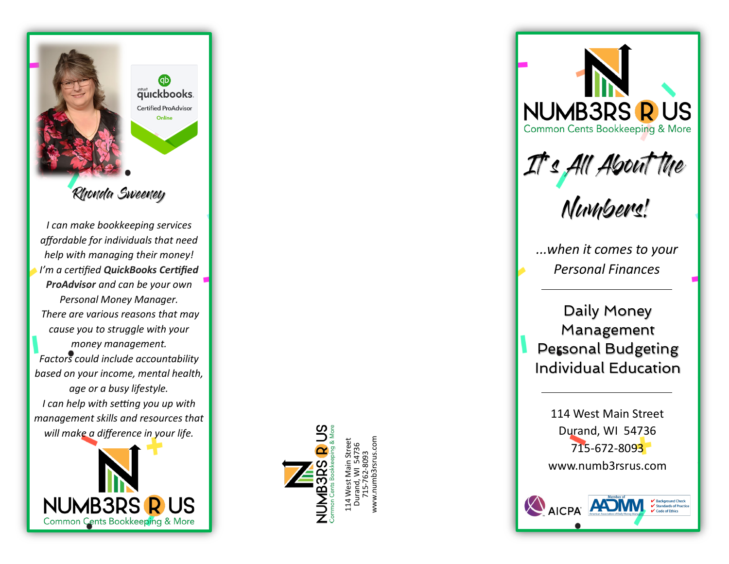

*I can make bookkeeping services affordable for individuals that need help with managing their money! I 'm a certified QuickBooks Certified ProAdvisor and can be your own Personal Money Manager. There are various reasons that may cause you to struggle with your money management. Factors could include accountability based on your income, mental health, age or a busy lifestyle. I can help with setting you up with management skills and resources that will make a difference in your life.*





114 West Main Street Durand, WI 54736 715-762-8093 www.numb3rsrus.com



Personal Budgeting Individual Education

114 West Main Street Durand, WI 54736 715-672-809<mark>3</mark> www.numb3rsrus.com

**AICPA PADM** 

Rackground Check

✔ Standards of Practice  $\overline{\mathsf{V}}$  Code of Ethics